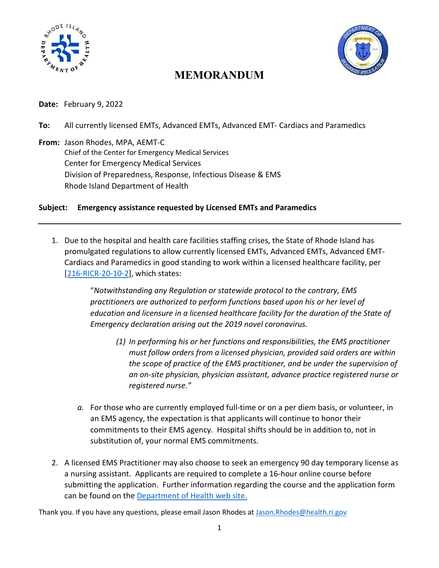



## **MEMORANDUM**

**Date:** February 9, 2022

**To:** All currently licensed EMTs, Advanced EMTs, Advanced EMT- Cardiacs and Paramedics

**From:** Jason Rhodes, MPA, AEMT-C Chief of the Center for Emergency Medical Services Center for Emergency Medical Services Division of Preparedness, Response, Infectious Disease & EMS Rhode Island Department of Health

## **Subject: Emergency assistance requested by Licensed EMTs and Paramedics**

1. Due to the hospital and health care facilities staffing crises, the State of Rhode Island has promulgated regulations to allow currently licensed EMTs, Advanced EMTs, Advanced EMT-Cardiacs and Paramedics in good standing to work within a licensed healthcare facility, per [\[216-RICR-20-10-2\]](https://rules.sos.ri.gov/regulations/part/216-20-10-2https:/rules.sos.ri.gov/regulations/part/216-20-10-2), which states:

> "*Notwithstanding any Regulation or statewide protocol to the contrary, EMS practitioners are authorized to perform functions based upon his or her level of*  education and licensure in a licensed healthcare facility for the duration of the State of *Emergency declaration arising out the 2019 novel coronavirus.*

- *(1) In performing his or her functions and responsibilities, the EMS practitioner must follow orders from a licensed physician, provided said orders are within the scope of practice of the EMS practitioner, and be under the supervision of an on-site physician, physician assistant, advance practice registered nurse or registered nurse."*
- *a.* For those who are currently employed full-time or on a per diem basis, or volunteer, in an EMS agency, the expectation is that applicants will continue to honor their commitments to their EMS agency. Hospital shifts should be in addition to, not in substitution of, your normal EMS commitments.
- 2. A licensed EMS Practitioner may also choose to seek an emergency 90 day temporary license as a nursing assistant. Applicants are required to complete a 16-hour online course before submitting the application. Further information regarding the course and the application form can be found on the [Department of Health web site.](https://health.ri.gov/licenses/)

Thank you. If you have any questions, please email Jason Rhodes at [Jason.Rhodes@health.ri.gov](mailto:Jason.Rhodes@health.ri.gov)